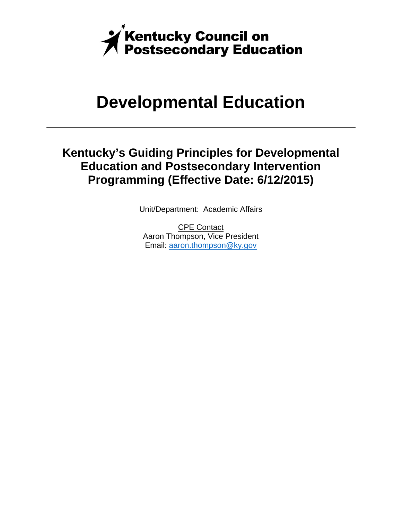

## **Developmental Education**

## **Kentucky's Guiding Principles for Developmental Education and Postsecondary Intervention Programming (Effective Date: 6/12/2015)**

Unit/Department: Academic Affairs

CPE Contact Aaron Thompson, Vice President Email: aaron.thompson@ky.gov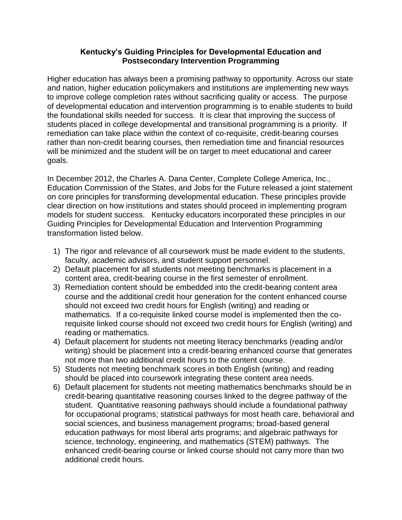## **Kentucky's Guiding Principles for Developmental Education and Postsecondary Intervention Programming**

Higher education has always been a promising pathway to opportunity. Across our state and nation, higher education policymakers and institutions are implementing new ways to improve college completion rates without sacrificing quality or access. The purpose of developmental education and intervention programming is to enable students to build the foundational skills needed for success. It is clear that improving the success of students placed in college developmental and transitional programming is a priority. If remediation can take place within the context of co-requisite, credit-bearing courses rather than non-credit bearing courses, then remediation time and financial resources will be minimized and the student will be on target to meet educational and career goals.

In December 2012, the Charles A. Dana Center, Complete College America, Inc., Education Commission of the States, and Jobs for the Future released a joint statement on core principles for transforming developmental education. These principles provide clear direction on how institutions and states should proceed in implementing program models for student success. Kentucky educators incorporated these principles in our Guiding Principles for Developmental Education and Intervention Programming transformation listed below.

- 1) The rigor and relevance of all coursework must be made evident to the students, faculty, academic advisors, and student support personnel.
- 2) Default placement for all students not meeting benchmarks is placement in a content area, credit-bearing course in the first semester of enrollment.
- 3) Remediation content should be embedded into the credit-bearing content area course and the additional credit hour generation for the content enhanced course should not exceed two credit hours for English (writing) and reading or mathematics. If a co-requisite linked course model is implemented then the corequisite linked course should not exceed two credit hours for English (writing) and reading or mathematics.
- 4) Default placement for students not meeting literacy benchmarks (reading and/or writing) should be placement into a credit-bearing enhanced course that generates not more than two additional credit hours to the content course.
- 5) Students not meeting benchmark scores in both English (writing) and reading should be placed into coursework integrating these content area needs.
- 6) Default placement for students not meeting mathematics benchmarks should be in credit-bearing quantitative reasoning courses linked to the degree pathway of the student. Quantitative reasoning pathways should include a foundational pathway for occupational programs; statistical pathways for most heath care, behavioral and social sciences, and business management programs; broad-based general education pathways for most liberal arts programs; and algebraic pathways for science, technology, engineering, and mathematics (STEM) pathways. The enhanced credit-bearing course or linked course should not carry more than two additional credit hours.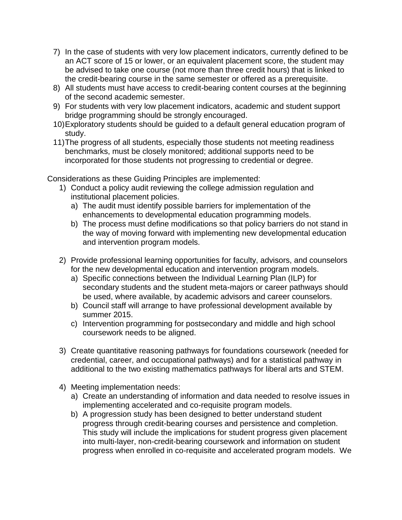- 7) In the case of students with very low placement indicators, currently defined to be an ACT score of 15 or lower, or an equivalent placement score, the student may be advised to take one course (not more than three credit hours) that is linked to the credit-bearing course in the same semester or offered as a prerequisite.
- 8) All students must have access to credit-bearing content courses at the beginning of the second academic semester.
- 9) For students with very low placement indicators, academic and student support bridge programming should be strongly encouraged.
- 10)Exploratory students should be guided to a default general education program of study.
- 11)The progress of all students, especially those students not meeting readiness benchmarks, must be closely monitored; additional supports need to be incorporated for those students not progressing to credential or degree.

Considerations as these Guiding Principles are implemented:

- 1) Conduct a policy audit reviewing the college admission regulation and institutional placement policies.
	- a) The audit must identify possible barriers for implementation of the enhancements to developmental education programming models.
	- b) The process must define modifications so that policy barriers do not stand in the way of moving forward with implementing new developmental education and intervention program models.
- 2) Provide professional learning opportunities for faculty, advisors, and counselors for the new developmental education and intervention program models.
	- a) Specific connections between the Individual Learning Plan (ILP) for secondary students and the student meta-majors or career pathways should be used, where available, by academic advisors and career counselors.
	- b) Council staff will arrange to have professional development available by summer 2015.
	- c) Intervention programming for postsecondary and middle and high school coursework needs to be aligned.
- 3) Create quantitative reasoning pathways for foundations coursework (needed for credential, career, and occupational pathways) and for a statistical pathway in additional to the two existing mathematics pathways for liberal arts and STEM.
- 4) Meeting implementation needs:
	- a) Create an understanding of information and data needed to resolve issues in implementing accelerated and co-requisite program models.
	- b) A progression study has been designed to better understand student progress through credit-bearing courses and persistence and completion. This study will include the implications for student progress given placement into multi-layer, non-credit-bearing coursework and information on student progress when enrolled in co-requisite and accelerated program models. We